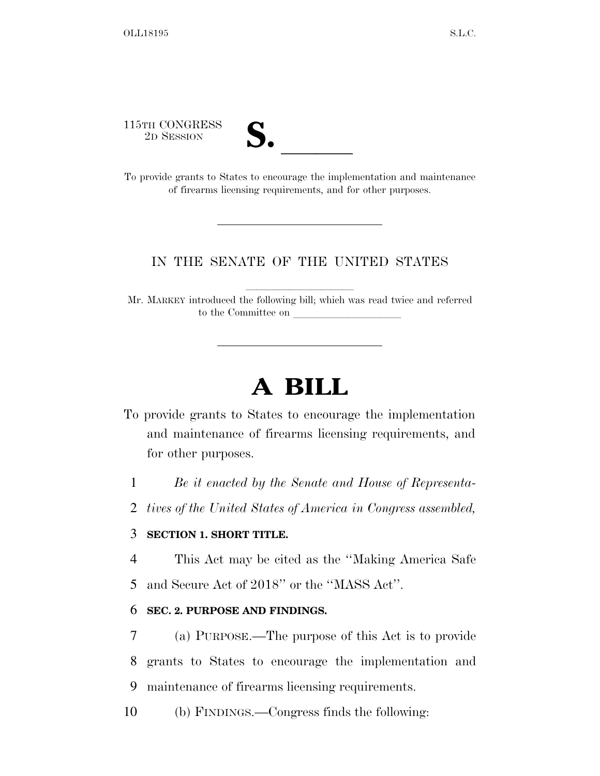115TH CONGRESS

| TH CONGRESS<br>2D SESSION | $\mathbf{v}$ |
|---------------------------|--------------|
|                           |              |

To provide grants to States to encourage the implementation and maintenance of firearms licensing requirements, and for other purposes.

### IN THE SENATE OF THE UNITED STATES

Mr. MARKEY introduced the following bill; which was read twice and referred to the Committee on

llllllllll

## **A BILL**

- To provide grants to States to encourage the implementation and maintenance of firearms licensing requirements, and for other purposes.
	- 1 *Be it enacted by the Senate and House of Representa-*
	- 2 *tives of the United States of America in Congress assembled,*

#### 3 **SECTION 1. SHORT TITLE.**

- 4 This Act may be cited as the ''Making America Safe
- 5 and Secure Act of 2018'' or the ''MASS Act''.

#### 6 **SEC. 2. PURPOSE AND FINDINGS.**

- 7 (a) PURPOSE.—The purpose of this Act is to provide 8 grants to States to encourage the implementation and 9 maintenance of firearms licensing requirements.
- 10 (b) FINDINGS.—Congress finds the following: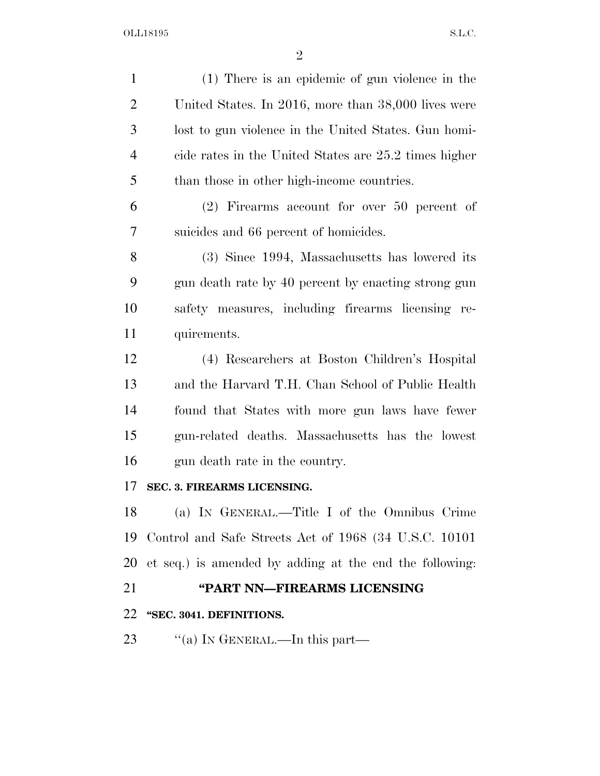| $\mathbf{1}$   | (1) There is an epidemic of gun violence in the         |
|----------------|---------------------------------------------------------|
| $\overline{2}$ | United States. In 2016, more than 38,000 lives were     |
| 3              | lost to gun violence in the United States. Gun homi-    |
| $\overline{4}$ | cide rates in the United States are 25.2 times higher   |
| 5              | than those in other high-income countries.              |
| 6              | $(2)$ Firearms account for over 50 percent of           |
| 7              | suicides and 66 percent of homicides.                   |
| 8              | (3) Since 1994, Massachusetts has lowered its           |
| 9              | gun death rate by 40 percent by enacting strong gun     |
| 10             | safety measures, including firearms licensing re-       |
| 11             | quirements.                                             |
| 12             | (4) Researchers at Boston Children's Hospital           |
| 13             | and the Harvard T.H. Chan School of Public Health       |
| 14             | found that States with more gun laws have fewer         |
| 15             | gun-related deaths. Massachusetts has the lowest        |
| 16             | gun death rate in the country.                          |
| 17             | SEC. 3. FIREARMS LICENSING.                             |
| 18             | (a) IN GENERAL.—Title I of the Omnibus Crime            |
| 19             | Control and Safe Streets Act of 1968 (34 U.S.C. 10101)  |
| 20             | et seq.) is amended by adding at the end the following: |
| 21             | "PART NN-FIREARMS LICENSING                             |
| 22             | "SEC. 3041. DEFINITIONS.                                |
| 23             | "(a) IN GENERAL.—In this part—                          |
|                |                                                         |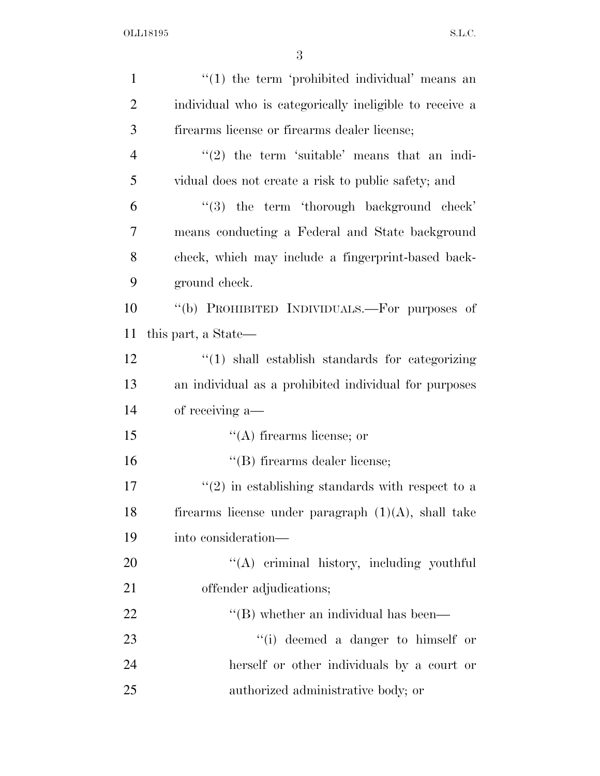| $\mathbf{1}$   | $"(1)$ the term 'prohibited individual' means an            |
|----------------|-------------------------------------------------------------|
| $\overline{2}$ | individual who is categorically ineligible to receive a     |
| 3              | firearms license or firearms dealer license;                |
| 4              | $\lq(2)$ the term 'suitable' means that an indi-            |
| 5              | vidual does not create a risk to public safety; and         |
| 6              | $\lq(3)$ the term 'thorough background check'               |
| 7              | means conducting a Federal and State background             |
| 8              | check, which may include a fingerprint-based back-          |
| 9              | ground check.                                               |
| 10             | "(b) PROHIBITED INDIVIDUALS.—For purposes of                |
| 11             | this part, a State—                                         |
| 12             | $\lq(1)$ shall establish standards for categorizing         |
| 13             | an individual as a prohibited individual for purposes       |
| 14             | of receiving a—                                             |
| 15             | $\lq\lq$ firearms license; or                               |
| 16             | "(B) firearms dealer license;                               |
| 17             | $\cdot\cdot(2)$ in establishing standards with respect to a |
| 18             | firearms license under paragraph $(1)(A)$ , shall take      |
| 19             | into consideration—                                         |
| 20             | "(A) criminal history, including youthful                   |
| 21             | offender adjudications;                                     |
| <u>22</u>      | $\lq$ (B) whether an individual has been—                   |
| 23             | "(i) deemed a danger to himself or                          |
| 24             | herself or other individuals by a court or                  |
| 25             | authorized administrative body; or                          |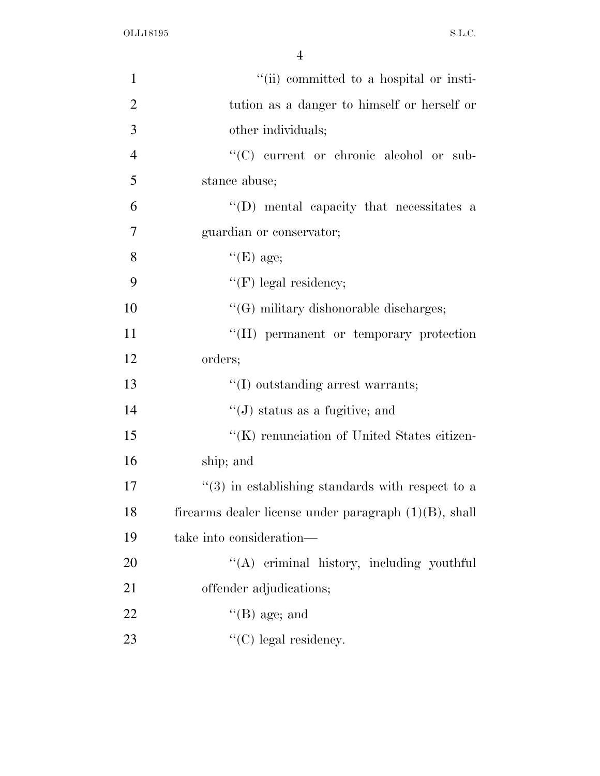| $\mathbf{1}$   | "(ii) committed to a hospital or insti-                  |
|----------------|----------------------------------------------------------|
| $\overline{2}$ | tution as a danger to himself or herself or              |
| 3              | other individuals;                                       |
| $\overline{4}$ | "(C) current or chronic alcohol or sub-                  |
| 5              | stance abuse;                                            |
| 6              | $\lq\lq$ (D) mental capacity that necessitates a         |
| $\overline{7}$ | guardian or conservator;                                 |
| 8              | $\lq\lq(E)$ age;                                         |
| 9              | $\lq\lq(F)$ legal residency;                             |
| 10             | $\lq\lq(G)$ military dishonorable discharges;            |
| 11             | "(H) permanent or temporary protection                   |
| 12             | orders;                                                  |
| 13             | $\lq\lq$ outstanding arrest warrants;                    |
| 14             | $\lq\lq$ status as a fugitive; and                       |
| 15             | "(K) renunciation of United States citizen-              |
| 16             | ship; and                                                |
| 17             | $\cdot$ (3) in establishing standards with respect to a  |
| 18             | firearms dealer license under paragraph $(1)(B)$ , shall |
| 19             | take into consideration—                                 |
| 20             | "(A) criminal history, including youthful                |
| 21             | offender adjudications;                                  |
| 22             | $\lq$ (B) age; and                                       |
| 23             | $\lq\lq$ (C) legal residency.                            |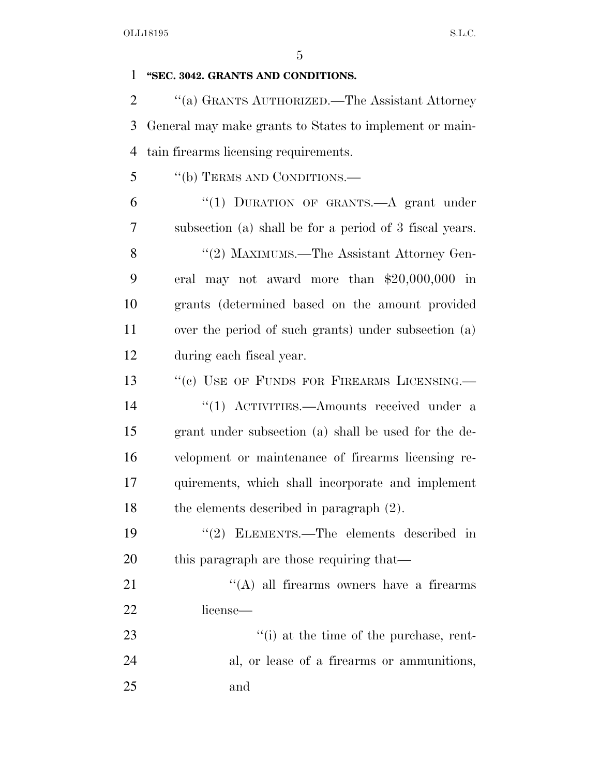# **''SEC. 3042. GRANTS AND CONDITIONS.**  ''(a) GRANTS AUTHORIZED.—The Assistant Attorney General may make grants to States to implement or main- tain firearms licensing requirements. ''(b) TERMS AND CONDITIONS.— ''(1) DURATION OF GRANTS.—A grant under subsection (a) shall be for a period of 3 fiscal years. 8 "(2) MAXIMUMS.—The Assistant Attorney Gen- eral may not award more than \$20,000,000 in grants (determined based on the amount provided over the period of such grants) under subsection (a) during each fiscal year. 13 "(c) USE OF FUNDS FOR FIREARMS LICENSING.— 14 ''(1) ACTIVITIES.—Amounts received under a grant under subsection (a) shall be used for the de- velopment or maintenance of firearms licensing re- quirements, which shall incorporate and implement the elements described in paragraph (2). ''(2) ELEMENTS.—The elements described in 20 this paragraph are those requiring that— 21 ''(A) all firearms owners have a firearms license— 23  $\frac{1}{2}$  (i) at the time of the purchase, rent- al, or lease of a firearms or ammunitions, and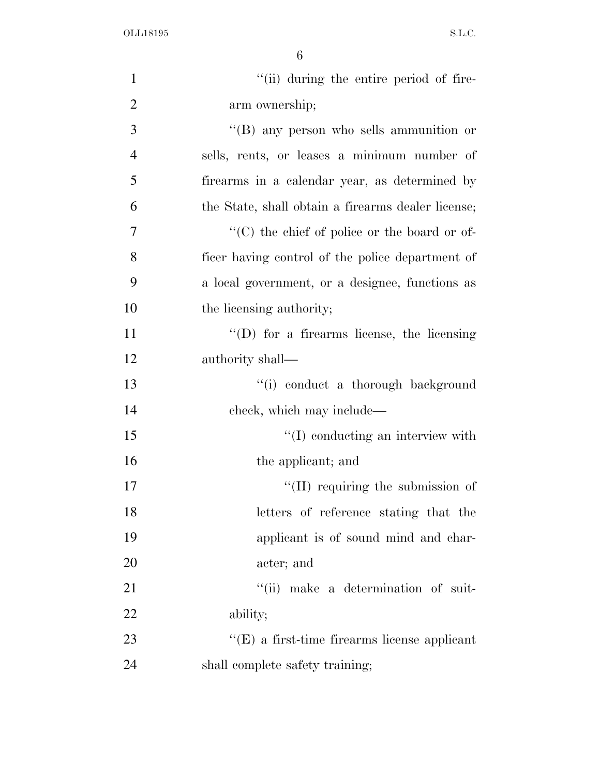| $\mathbf{1}$   | "(ii) during the entire period of fire-             |
|----------------|-----------------------------------------------------|
| $\overline{2}$ | arm ownership;                                      |
| 3              | $\lq\lq (B)$ any person who sells ammunition or     |
| $\overline{4}$ | sells, rents, or leases a minimum number of         |
| 5              | firearms in a calendar year, as determined by       |
| 6              | the State, shall obtain a firearms dealer license;  |
| $\overline{7}$ | "(C) the chief of police or the board or of-        |
| 8              | ficer having control of the police department of    |
| 9              | a local government, or a designee, functions as     |
| 10             | the licensing authority;                            |
| 11             | $\lq\lq$ (D) for a firearms license, the licensing  |
| 12             | authority shall—                                    |
| 13             | "(i) conduct a thorough background                  |
| 14             | check, which may include—                           |
| 15             | $\lq\lq$ conducting an interview with               |
| 16             | the applicant; and                                  |
| 17             | $\lq$ (II) requiring the submission of              |
| 18             | letters of reference stating that the               |
| 19             | applicant is of sound mind and char-                |
| 20             | acter; and                                          |
| 21             | "(ii) make a determination of suit-                 |
| 22             | ability;                                            |
| 23             | $\lq\lq(E)$ a first-time firearms license applicant |
| 24             | shall complete safety training;                     |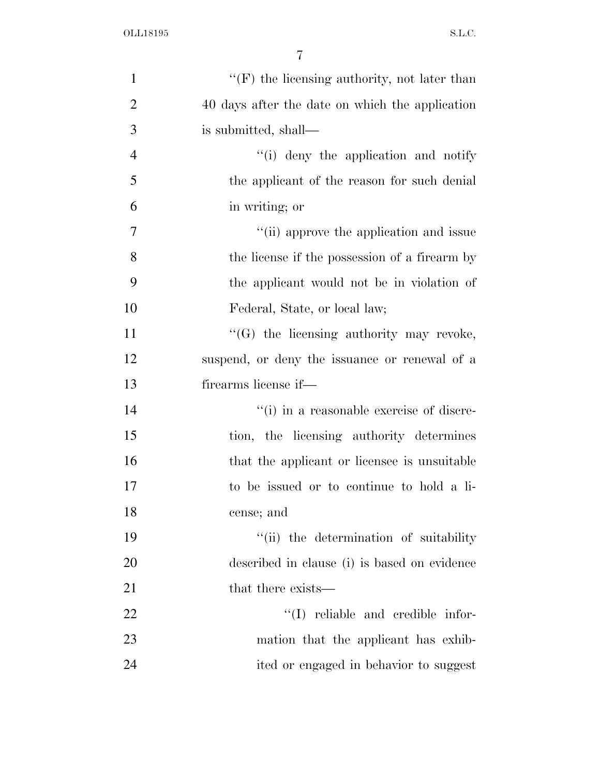| $\mathbf{1}$   | $\lq\lq(F)$ the licensing authority, not later than |
|----------------|-----------------------------------------------------|
| $\overline{2}$ | 40 days after the date on which the application     |
| 3              | is submitted, shall—                                |
| $\overline{4}$ | "(i) deny the application and notify                |
| 5              | the applicant of the reason for such denial         |
| 6              | in writing; or                                      |
| 7              | "(ii) approve the application and issue             |
| 8              | the license if the possession of a firearm by       |
| 9              | the applicant would not be in violation of          |
| 10             | Federal, State, or local law;                       |
| 11             | "(G) the licensing authority may revoke,            |
| 12             | suspend, or deny the issuance or renewal of a       |
| 13             | firearms license if—                                |
| 14             | "(i) in a reasonable exercise of discre-            |
| 15             | tion, the licensing authority determines            |
| 16             | that the applicant or licensee is unsuitable        |
| 17             | to be issued or to continue to hold a li-           |
| 18             | cense; and                                          |
| 19             | "(ii) the determination of suitability              |
| 20             | described in clause (i) is based on evidence        |
| 21             | that there exists—                                  |
| 22             | $\lq\lq$ reliable and credible infor-               |
| 23             | mation that the applicant has exhib-                |
| 24             | ited or engaged in behavior to suggest              |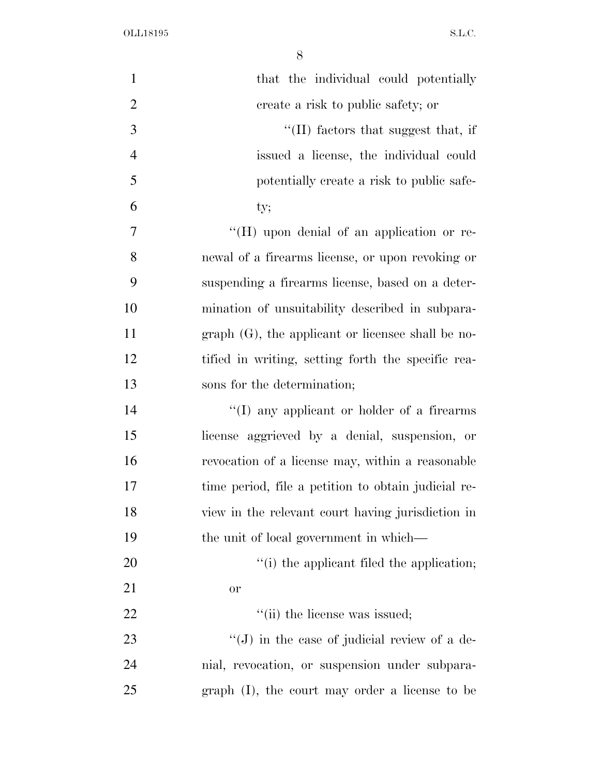| $\mathbf{1}$   | that the individual could potentially               |
|----------------|-----------------------------------------------------|
| $\overline{2}$ | create a risk to public safety; or                  |
| 3              | $\lq$ (II) factors that suggest that, if            |
| $\overline{4}$ | issued a license, the individual could              |
| 5              | potentially create a risk to public safe-           |
| 6              | ty;                                                 |
| 7              | "(H) upon denial of an application or re-           |
| 8              | newal of a firearms license, or upon revoking or    |
| 9              | suspending a firearms license, based on a deter-    |
| 10             | mination of unsuitability described in subpara-     |
| 11             | $graph(G)$ , the applicant or licensee shall be no- |
| 12             | tified in writing, setting forth the specific rea-  |
| 13             | sons for the determination;                         |
| 14             | "(I) any applicant or holder of a firearms          |
| 15             | license aggrieved by a denial, suspension, or       |
| 16             | revocation of a license may, within a reasonable    |
| 17             | time period, file a petition to obtain judicial re- |
| 18             | view in the relevant court having jurisdiction in   |
| 19             | the unit of local government in which—              |
| 20             | "(i) the applicant filed the application;           |
| 21             | <b>or</b>                                           |
| 22             | "(ii) the license was issued;                       |
| 23             | $\lq\lq$ ) in the case of judicial review of a de-  |
| 24             | mial, revocation, or suspension under subpara-      |
| 25             | graph (I), the court may order a license to be      |
|                |                                                     |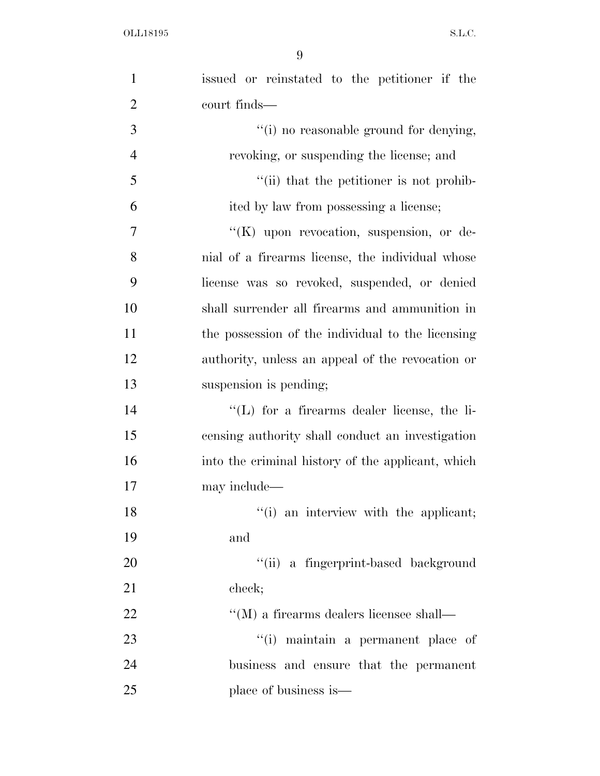| $\mathbf{1}$   | issued or reinstated to the petitioner if the         |
|----------------|-------------------------------------------------------|
| $\overline{2}$ | court finds—                                          |
| 3              | "(i) no reasonable ground for denying,                |
| $\overline{4}$ | revoking, or suspending the license; and              |
| 5              | "(ii) that the petitioner is not prohib-              |
| 6              | ited by law from possessing a license;                |
| 7              | " $(K)$ upon revocation, suspension, or de-           |
| 8              | nial of a firearms license, the individual whose      |
| 9              | license was so revoked, suspended, or denied          |
| 10             | shall surrender all firearms and ammunition in        |
| 11             | the possession of the individual to the licensing     |
| 12             | authority, unless an appeal of the revocation or      |
| 13             | suspension is pending;                                |
| 14             | $\lq\lq$ . (L) for a firearms dealer license, the li- |
| 15             | censing authority shall conduct an investigation      |
| 16             | into the criminal history of the applicant, which     |
| 17             | may include—                                          |
| 18             | "(i) an interview with the applicant;                 |
| 19             | and                                                   |
| 20             | "(ii) a fingerprint-based background                  |
| 21             | check;                                                |
| 22             | $\lq\lq (M)$ a firearms dealers licensee shall—       |
| 23             | "(i) maintain a permanent place of                    |
| 24             | business and ensure that the permanent                |
| 25             | place of business is—                                 |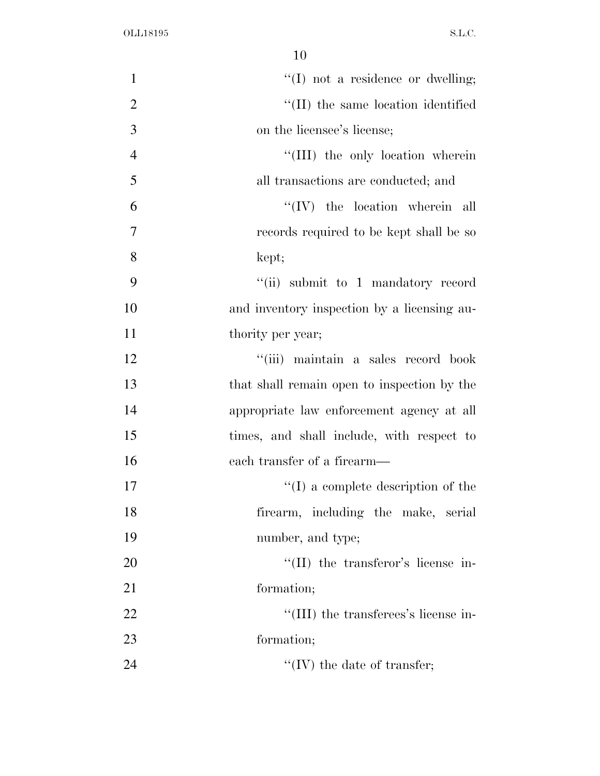| $\mathbf{1}$   | $\lq\lq$ . The not a residence or dwelling; |
|----------------|---------------------------------------------|
| $\overline{2}$ | "(II) the same location identified          |
| 3              | on the licensee's license;                  |
| $\overline{4}$ | "(III) the only location wherein            |
| 5              | all transactions are conducted; and         |
| 6              | $``(IV)$ the location wherein all           |
| $\overline{7}$ | records required to be kept shall be so     |
| 8              | kept;                                       |
| 9              | "(ii) submit to 1 mandatory record          |
| 10             | and inventory inspection by a licensing au- |
| 11             | thority per year;                           |
| 12             | "(iii) maintain a sales record book         |
| 13             | that shall remain open to inspection by the |
| 14             | appropriate law enforcement agency at all   |
| 15             | times, and shall include, with respect to   |
| 16             | each transfer of a firearm—                 |
| 17             | $\lq\lq$ a complete description of the      |
| 18             | firearm, including the make, serial         |
| 19             | number, and type;                           |
| 20             | $\lq$ (II) the transferor's license in-     |
| 21             | formation;                                  |
| 22             | "(III) the transferees's license in-        |
| 23             | formation;                                  |
| 24             | $\lq\lq$ (IV) the date of transfer;         |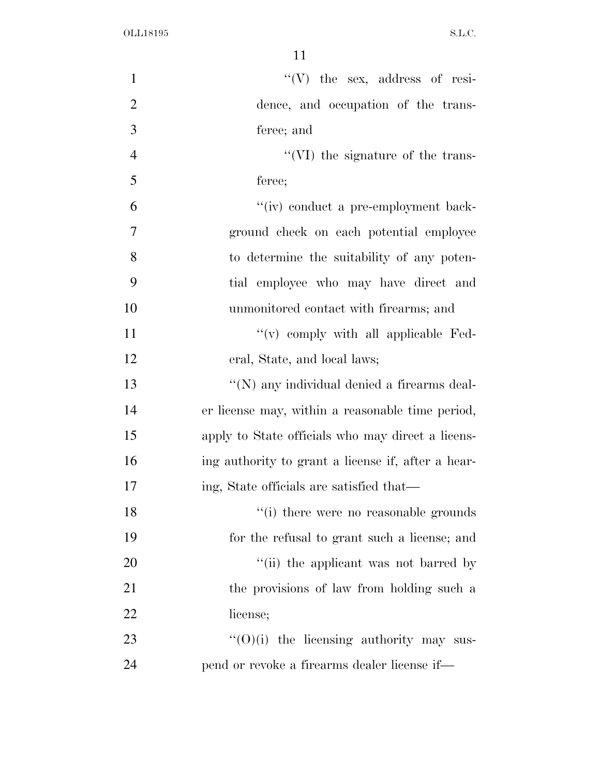| $\mathbf{1}$   | $\lq\lq(V)$ the sex, address of resi-              |
|----------------|----------------------------------------------------|
| $\overline{2}$ | dence, and occupation of the trans-                |
| 3              | feree; and                                         |
| $\overline{4}$ | $\lq\lq$ (VI) the signature of the trans-          |
| 5              | feree;                                             |
| 6              | "(iv) conduct a pre-employment back-               |
| 7              | ground check on each potential employee            |
| 8              | to determine the suitability of any poten-         |
| 9              | tial employee who may have direct and              |
| 10             | unmonitored contact with firearms; and             |
| 11             | "(v) comply with all applicable Fed-               |
| 12             | eral, State, and local laws;                       |
| 13             | "(N) any individual denied a firearms deal-        |
| 14             | er license may, within a reasonable time period,   |
| 15             | apply to State officials who may direct a licens-  |
| 16             | ing authority to grant a license if, after a hear- |
| 17             | ing, State officials are satisfied that—           |
| 18             | "(i) there were no reasonable grounds              |
| 19             | for the refusal to grant such a license; and       |
| 20             | "(ii) the applicant was not barred by              |
| 21             | the provisions of law from holding such a          |
| 22             | license;                                           |
| 23             | $\lq\lq$ (O)(i) the licensing authority may sus-   |
| 24             | pend or revoke a firearms dealer license if-       |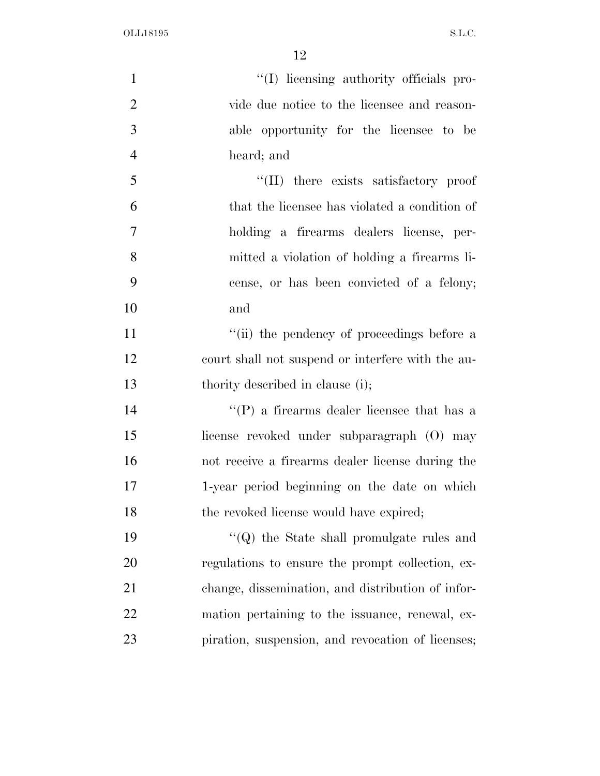| $\mathbf{1}$   | "(I) licensing authority officials pro-           |
|----------------|---------------------------------------------------|
| $\overline{2}$ | vide due notice to the licensee and reason-       |
| 3              | able opportunity for the licensee to be           |
| $\overline{4}$ | heard; and                                        |
| 5              | "(II) there exists satisfactory proof             |
| 6              | that the licensee has violated a condition of     |
| $\overline{7}$ | holding a firearms dealers license, per-          |
| 8              | mitted a violation of holding a firearms li-      |
| 9              | cense, or has been convicted of a felony;         |
| 10             | and                                               |
| 11             | "(ii) the pendency of proceedings before a        |
| 12             | court shall not suspend or interfere with the au- |
| 13             | thority described in clause (i);                  |
| 14             | $\lq\lq(P)$ a firearms dealer licensee that has a |
| 15             | license revoked under subparagraph (O) may        |
| 16             | not receive a firearms dealer license during the  |
| 17             | 1-year period beginning on the date on which      |
| 18             | the revoked license would have expired;           |
| 19             | $\lq\lq (Q)$ the State shall promulgate rules and |
| 20             | regulations to ensure the prompt collection, ex-  |
| 21             | change, dissemination, and distribution of infor- |
| 22             | mation pertaining to the issuance, renewal, ex-   |
| 23             | piration, suspension, and revocation of licenses; |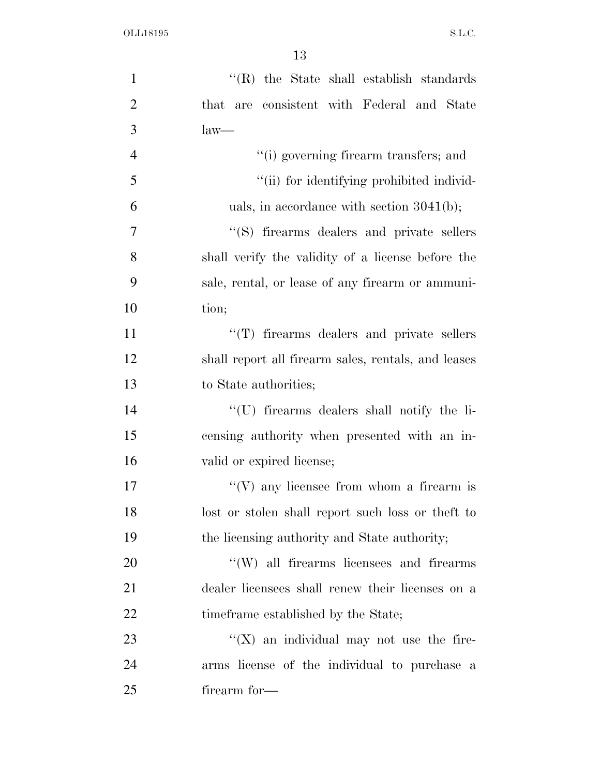| $\mathbf{1}$   | $\lq$ (R) the State shall establish standards       |
|----------------|-----------------------------------------------------|
| $\overline{2}$ | that are consistent with Federal and State          |
| 3              | $law-$                                              |
| $\overline{4}$ | "(i) governing firearm transfers; and               |
| 5              | "(ii) for identifying prohibited individ-           |
| 6              | uals, in accordance with section $3041(b)$ ;        |
| $\overline{7}$ | "(S) firearms dealers and private sellers           |
| 8              | shall verify the validity of a license before the   |
| 9              | sale, rental, or lease of any firearm or ammuni-    |
| 10             | tion;                                               |
| 11             | "(T) firearms dealers and private sellers           |
| 12             | shall report all firearm sales, rentals, and leases |
| 13             | to State authorities;                               |
| 14             | "(U) firearms dealers shall notify the li-          |
| 15             | censing authority when presented with an in-        |
| 16             | valid or expired license;                           |
| 17             | $\lq\lq(V)$ any licensee from whom a firearm is     |
| 18             | lost or stolen shall report such loss or the ft to  |
| 19             | the licensing authority and State authority;        |
| 20             | "(W) all firearms licensees and firearms            |
| 21             | dealer licensees shall renew their licenses on a    |
| 22             | time frame established by the State;                |
| 23             | " $(X)$ an individual may not use the fire-         |
| 24             | arms license of the individual to purchase a        |
| 25             | firearm for—                                        |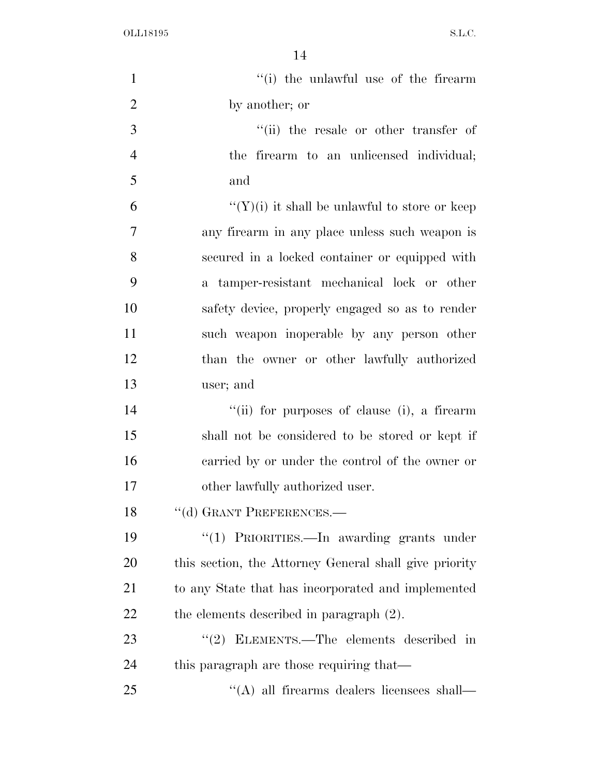| $\mathbf{1}$   | "(i) the unlawful use of the firearm                   |
|----------------|--------------------------------------------------------|
| $\overline{2}$ | by another; or                                         |
| 3              | "(ii) the resale or other transfer of                  |
| $\overline{4}$ | the firearm to an unlicensed individual;               |
| 5              | and                                                    |
| 6              | " $(Y)(i)$ it shall be unlawful to store or keep       |
| 7              | any firearm in any place unless such weapon is         |
| 8              | secured in a locked container or equipped with         |
| 9              | a tamper-resistant mechanical lock or other            |
| 10             | safety device, properly engaged so as to render        |
| 11             | such weapon inoperable by any person other             |
| 12             | than the owner or other lawfully authorized            |
| 13             | user; and                                              |
| 14             | "(ii) for purposes of clause (i), a firearm            |
| 15             | shall not be considered to be stored or kept if        |
| 16             | carried by or under the control of the owner or        |
| 17             | other lawfully authorized user.                        |
| 18             | "(d) GRANT PREFERENCES.-                               |
| 19             | "(1) PRIORITIES.—In awarding grants under              |
| 20             | this section, the Attorney General shall give priority |
| 21             | to any State that has incorporated and implemented     |
| 22             | the elements described in paragraph $(2)$ .            |
| 23             | "(2) ELEMENTS.—The elements described in               |
| 24             | this paragraph are those requiring that—               |
| 25             | "(A) all firearms dealers licensees shall—             |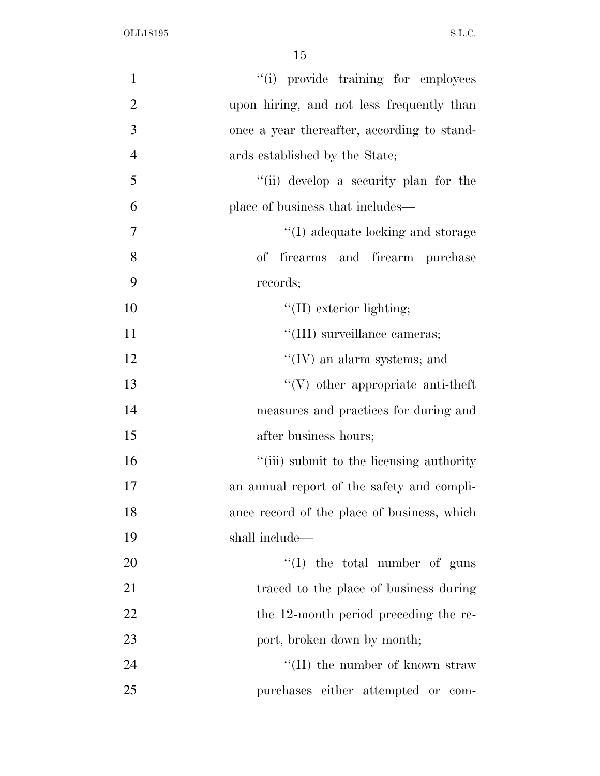| $\mathbf{1}$   | "(i) provide training for employees            |
|----------------|------------------------------------------------|
| $\overline{2}$ | upon hiring, and not less frequently than      |
| 3              | once a year thereafter, according to stand-    |
| $\overline{4}$ | ards established by the State;                 |
| 5              | "(ii) develop a security plan for the          |
| 6              | place of business that includes—               |
| $\tau$         | "(I) adequate locking and storage              |
| 8              | firearms and firearm purchase<br>$\mathrm{of}$ |
| 9              | records;                                       |
| 10             | $\lq\lq$ (II) exterior lighting;               |
| 11             | "(III) surveillance cameras;                   |
| 12             | $\lq\lq$ (IV) an alarm systems; and            |
| 13             | $\lq\lq$ other appropriate anti-theft          |
| 14             | measures and practices for during and          |
| 15             | after business hours;                          |
| 16             | "(iii) submit to the licensing authority       |
| 17             | an annual report of the safety and compli-     |
| 18             | ance record of the place of business, which    |
| 19             | shall include—                                 |
| 20             | "(I) the total number of guns                  |
| 21             | traced to the place of business during         |
| 22             | the 12-month period preceding the re-          |
| 23             | port, broken down by month;                    |
| 24             | "(II) the number of known straw"               |
| 25             | purchases either attempted or com-             |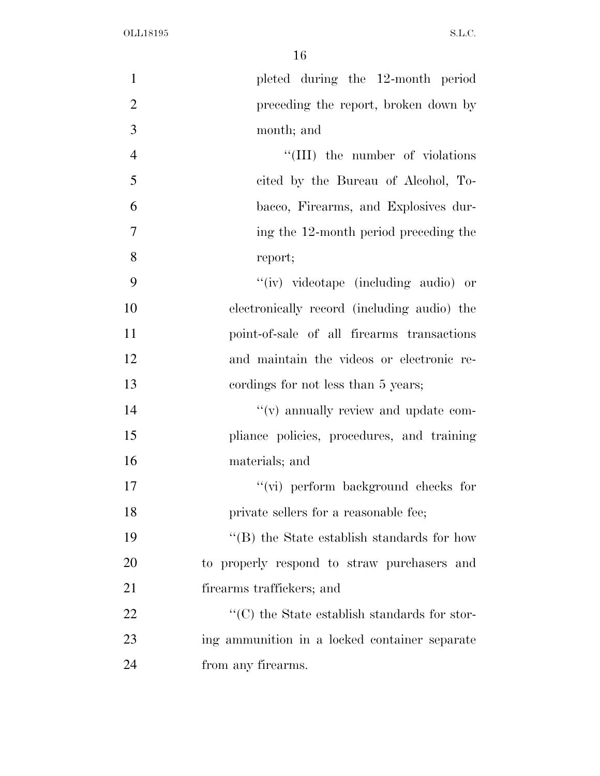| $\mathbf{1}$   | pleted during the 12-month period                                 |
|----------------|-------------------------------------------------------------------|
| $\overline{2}$ | preceding the report, broken down by                              |
| 3              | month; and                                                        |
| $\overline{4}$ | "(III) the number of violations                                   |
| 5              | cited by the Bureau of Alcohol, To-                               |
| 6              | bacco, Firearms, and Explosives dur-                              |
| 7              | ing the 12-month period preceding the                             |
| 8              | report;                                                           |
| 9              | "(iv) videotape (including audio) or                              |
| 10             | electronically record (including audio) the                       |
| 11             | point-of-sale of all firearms transactions                        |
| 12             | and maintain the videos or electronic re-                         |
| 13             | cordings for not less than 5 years;                               |
| 14             | $\lq\lq$ (v) annually review and update com-                      |
| 15             | pliance policies, procedures, and training                        |
| 16             | materials; and                                                    |
| 17             | $``$ (vi) perform background checks for                           |
| 18             | private sellers for a reasonable fee;                             |
| 19             | $\lq\lq$ the State establish standards for how                    |
| 20             | to properly respond to straw purchasers and                       |
| 21             | firearms traffickers; and                                         |
| 22             | $\lq\lq$ <sup>*</sup> (C) the State establish standards for stor- |
| 23             | ing ammunition in a locked container separate                     |
| 24             | from any firearms.                                                |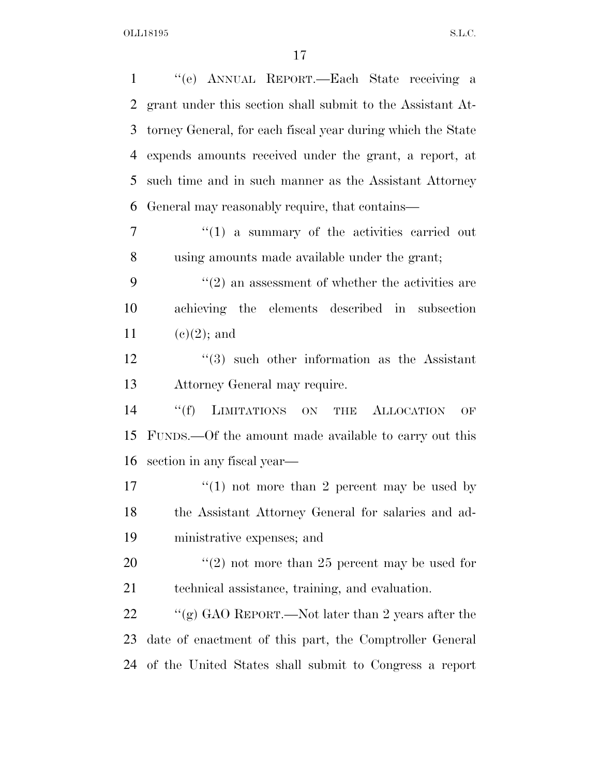| $\mathbf{1}$ | "(e) ANNUAL REPORT.—Each State receiving a                       |
|--------------|------------------------------------------------------------------|
| 2            | grant under this section shall submit to the Assistant At-       |
| 3            | torney General, for each fiscal year during which the State      |
| 4            | expends amounts received under the grant, a report, at           |
| 5            | such time and in such manner as the Assistant Attorney           |
| 6            | General may reasonably require, that contains—                   |
| 7            | $\lq(1)$ a summary of the activities carried out                 |
| 8            | using amounts made available under the grant;                    |
| 9            | $\cdot\cdot\cdot(2)$ an assessment of whether the activities are |
| 10           | achieving the elements described in subsection                   |
| 11           | $(e)(2)$ ; and                                                   |
| 12           | $(3)$ such other information as the Assistant                    |
| 13           | Attorney General may require.                                    |
| 14           | ``(f)<br>LIMITATIONS ON<br><b>ALLOCATION</b><br>THE<br>OF        |
| 15           | FUNDS.—Of the amount made available to carry out this            |
| 16           | section in any fiscal year—                                      |
| 17           | "(1) not more than 2 percent may be used by                      |
| 18           | the Assistant Attorney General for salaries and ad-              |
| 19           | ministrative expenses; and                                       |
| 20           | $\lq(2)$ not more than 25 percent may be used for                |
| 21           | technical assistance, training, and evaluation.                  |
| 22           | "(g) GAO REPORT.—Not later than 2 years after the                |
| 23           | date of enactment of this part, the Comptroller General          |
| 24           | of the United States shall submit to Congress a report           |